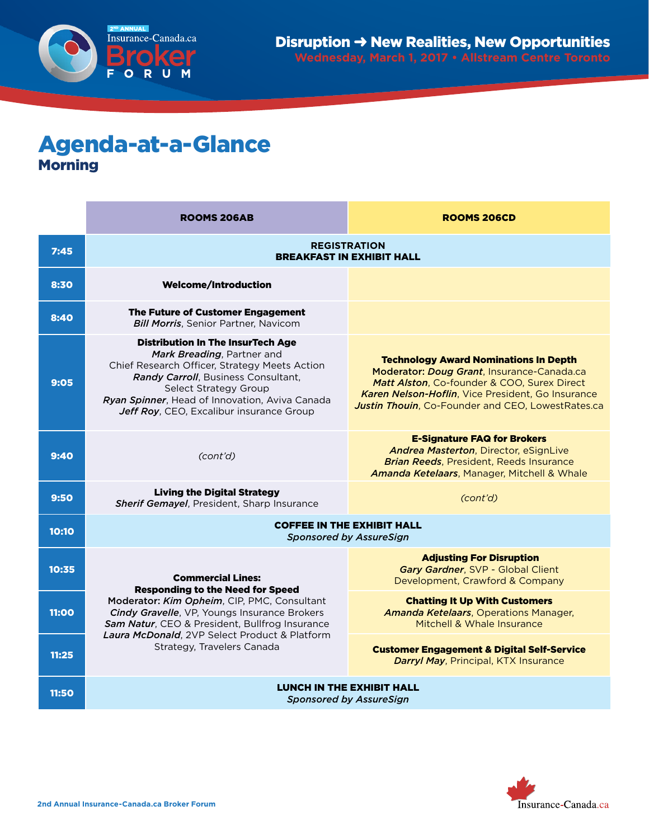

## Agenda-at-a-Glance Morning

|       | <b>ROOMS 206AB</b>                                                                                                                                                                                                                                                                    | <b>ROOMS 206CD</b>                                                                                                                                                                                                                                  |
|-------|---------------------------------------------------------------------------------------------------------------------------------------------------------------------------------------------------------------------------------------------------------------------------------------|-----------------------------------------------------------------------------------------------------------------------------------------------------------------------------------------------------------------------------------------------------|
| 7:45  | <b>REGISTRATION</b><br><b>BREAKFAST IN EXHIBIT HALL</b>                                                                                                                                                                                                                               |                                                                                                                                                                                                                                                     |
| 8:30  | <b>Welcome/Introduction</b>                                                                                                                                                                                                                                                           |                                                                                                                                                                                                                                                     |
| 8:40  | The Future of Customer Engagement<br><b>Bill Morris, Senior Partner, Navicom</b>                                                                                                                                                                                                      |                                                                                                                                                                                                                                                     |
| 9:05  | <b>Distribution In The InsurTech Age</b><br>Mark Breading, Partner and<br>Chief Research Officer, Strategy Meets Action<br>Randy Carroll, Business Consultant,<br>Select Strategy Group<br>Ryan Spinner, Head of Innovation, Aviva Canada<br>Jeff Roy, CEO, Excalibur insurance Group | <b>Technology Award Nominations In Depth</b><br>Moderator: Doug Grant, Insurance-Canada.ca<br>Matt Alston, Co-founder & COO, Surex Direct<br>Karen Nelson-Hoflin, Vice President, Go Insurance<br>Justin Thouin, Co-Founder and CEO, LowestRates.ca |
| 9:40  | (cont'd)                                                                                                                                                                                                                                                                              | <b>E-Signature FAQ for Brokers</b><br>Andrea Masterton, Director, eSignLive<br><b>Brian Reeds, President, Reeds Insurance</b><br><b>Amanda Ketelaars, Manager, Mitchell &amp; Whale</b>                                                             |
| 9:50  | <b>Living the Digital Strategy</b><br><b>Sherif Gemayel, President, Sharp Insurance</b>                                                                                                                                                                                               | (cont'd)                                                                                                                                                                                                                                            |
| 10:10 | <b>COFFEE IN THE EXHIBIT HALL</b><br><b>Sponsored by AssureSign</b>                                                                                                                                                                                                                   |                                                                                                                                                                                                                                                     |
| 10:35 | <b>Commercial Lines:</b><br><b>Responding to the Need for Speed</b>                                                                                                                                                                                                                   | <b>Adjusting For Disruption</b><br>Gary Gardner, SVP - Global Client<br>Development, Crawford & Company                                                                                                                                             |
| 11:00 | Moderator: Kim Opheim, CIP, PMC, Consultant<br><b>Cindy Gravelle, VP, Youngs Insurance Brokers</b><br>Sam Natur, CEO & President, Bullfrog Insurance<br>Laura McDonald, 2VP Select Product & Platform<br>Strategy, Travelers Canada                                                   | <b>Chatting It Up With Customers</b><br><b>Amanda Ketelaars, Operations Manager,</b><br>Mitchell & Whale Insurance                                                                                                                                  |
| 11:25 |                                                                                                                                                                                                                                                                                       | <b>Customer Engagement &amp; Digital Self-Service</b><br><b>Darryl May, Principal, KTX Insurance</b>                                                                                                                                                |
| 11:50 | <b>LUNCH IN THE EXHIBIT HALL</b><br><b>Sponsored by AssureSign</b>                                                                                                                                                                                                                    |                                                                                                                                                                                                                                                     |